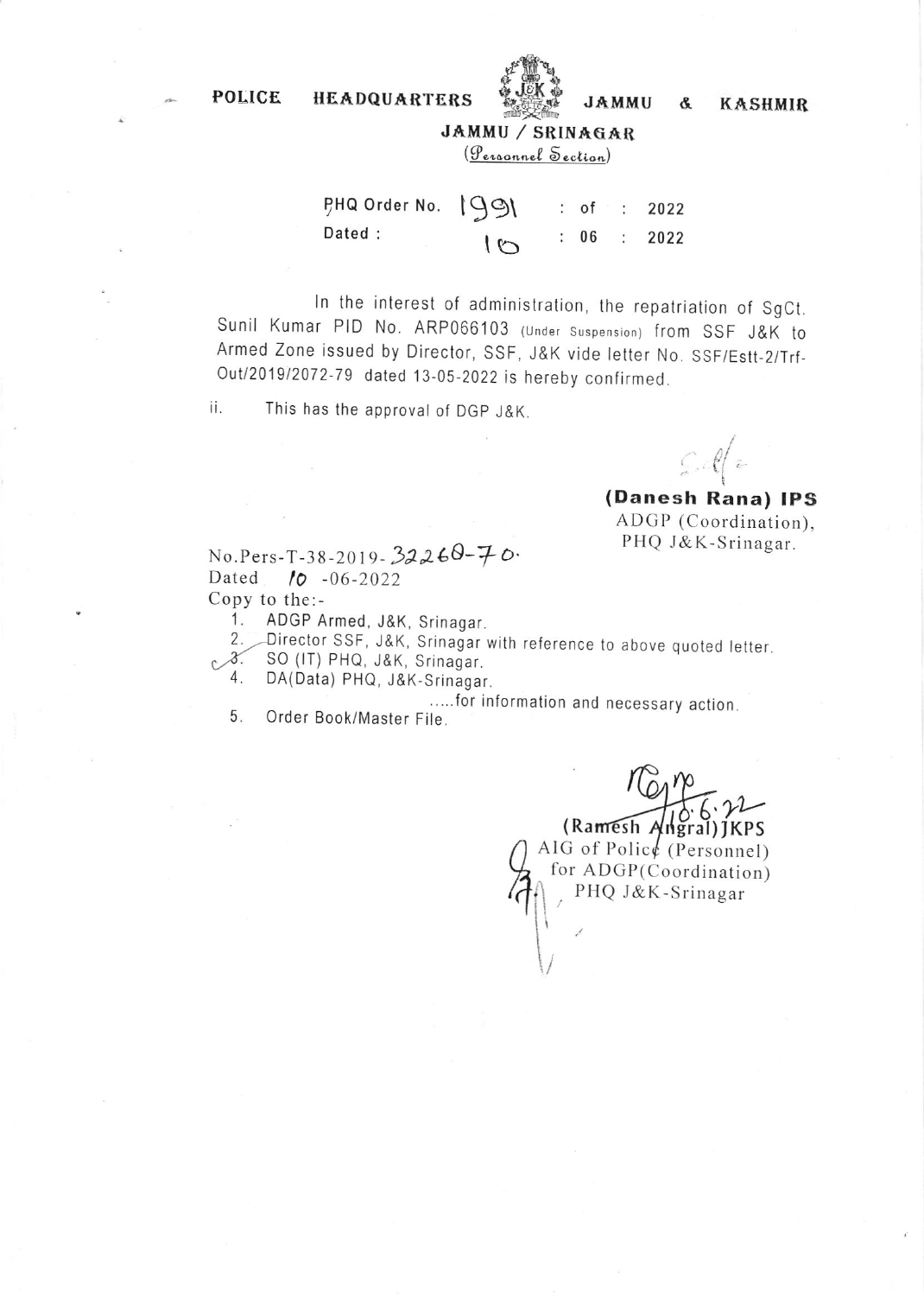POLICE HEADQUARTERS



JAMMU & KASHMIR

JAMMIJ,/ SRINAEAR

(Personnel Section)

| PHQ Order No. 1991 |        |  | : of : 2022 |
|--------------------|--------|--|-------------|
| Dated :            | $\sim$ |  | : 06 : 2022 |

ln the interest of administration, the repatriation of SgCt. Sunil Kumar PID No. ARP066103 (under suspension) from SSF J&K to Armed Zone issued by Director, SSF, J&K vide letter No. SSF/Estt-2/Trf-Out/2019/2072-79 dated 13-05-2022 is hereby confirmed.

ii. This has the approval of DGP J&K.

 $\int_{\mathbb{R}}\mathcal{A}\left(\mathbf{z}\right)$ 

(Danesh Rana) IPS ADGP (Coordination). PHQ J&K-Srinagar.

 $No.Pers-T-38-2019-32260-70.$ Dated 10 -06-2022 Copy to the: -

1. ADGP Armed, J&K, Srinagar

2. Director SSF, J&K, Srinagar with reference to above quoted letter.

- SO (IT) PHQ, J&K, Srinagar  $\mathcal{C}$ .
	- DA(Data) PHQ, J&K-Srinagar.

.....f0r information and necessary action.  $5<sub>1</sub>$ 

Order Book/Master File.

(Ramesh Angr 6 al )IKPS  $.72 \tilde{a}$ AIG of Police (Personnel) for ADGP(Coordination) PHQ J&K-Srinagar  $\left| \cdot \right|$  $\int$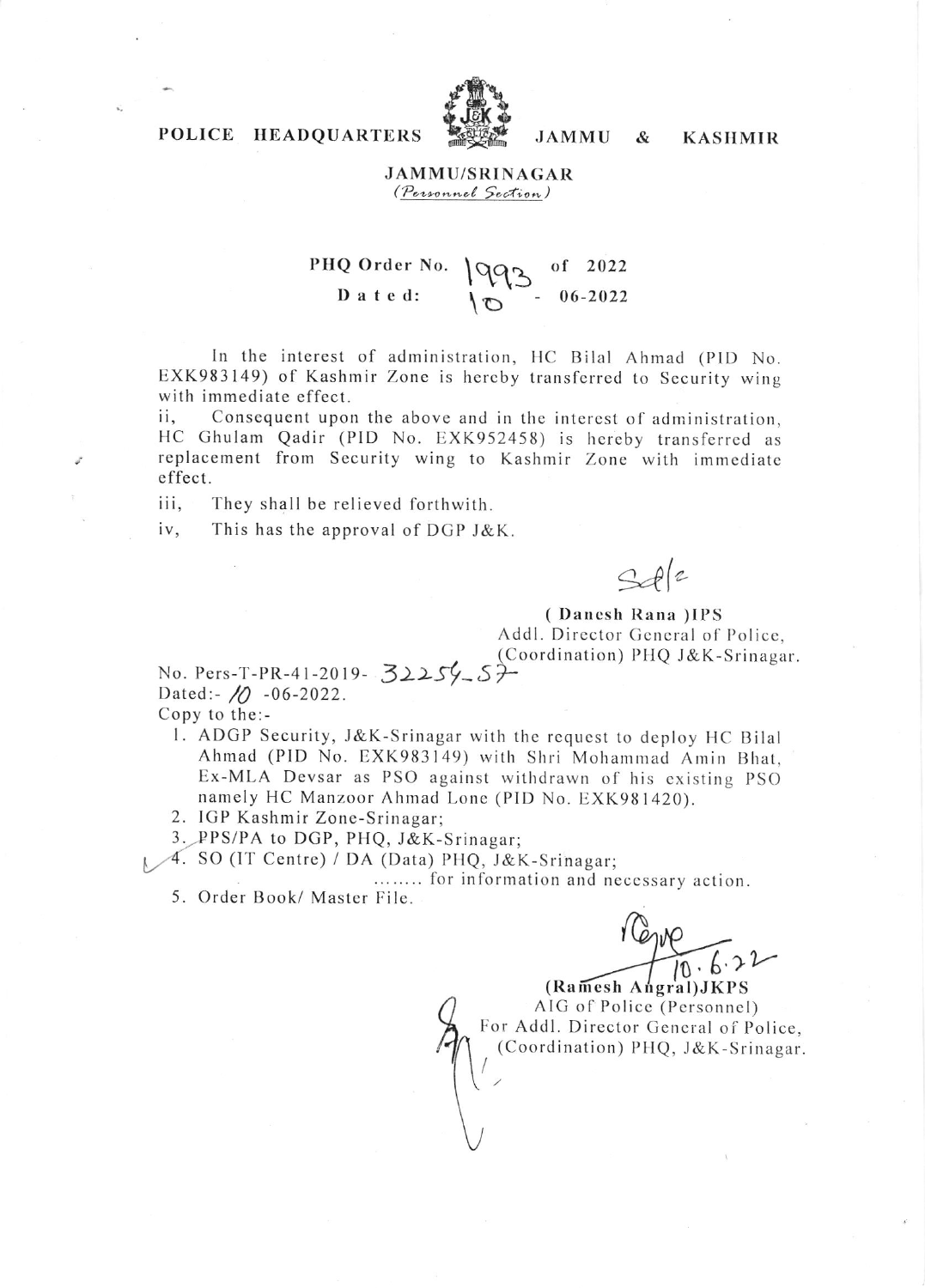

**JAMMU** 

&

## **KASHMIR**

**JAMMU/SRINAGAR** (Personnel Section)

#### PHQ Order No. of  $2022$ 1992 Dated:  $06 - 2022$

In the interest of administration, HC Bilal Ahmad (PID No. EXK983149) of Kashmir Zone is hereby transferred to Security wing with immediate effect.

Consequent upon the above and in the interest of administration, ii, HC Ghulam Qadir (PID No. EXK952458) is hereby transferred as replacement from Security wing to Kashmir Zone with immediate effect.

iii. They shall be relieved forthwith.

POLICE HEADQUARTERS

iv, This has the approval of DGP J&K.

 $S$ de

(Danesh Rana) IPS Addl. Director General of Police. (Coordination) PHQ J&K-Srinagar.

No. Pers-T-PR-41-2019- 32254 57 Dated:- $\sqrt{0}$  -06-2022. Copy to the:-

- 1. ADGP Security, J&K-Srinagar with the request to deploy HC Bilal Ahmad (PID No. EXK983149) with Shri Mohammad Amin Bhat, Ex-MLA Devsar as PSO against withdrawn of his existing PSO namely HC Manzoor Ahmad Lone (PID No. EXK981420).
- 2. IGP Kashmir Zone-Srinagar;

3. PPS/PA to DGP, PHQ, J&K-Srinagar;

A. SO (IT Centre) / DA (Data) PHQ, J&K-Srinagar;

........ for information and necessary action.

5. Order Book/ Master File.

(Ramesh Angral) JKPS AIG of Police (Personnel) For Addl. Director General of Police, (Coordination) PHQ, J&K-Srinagar.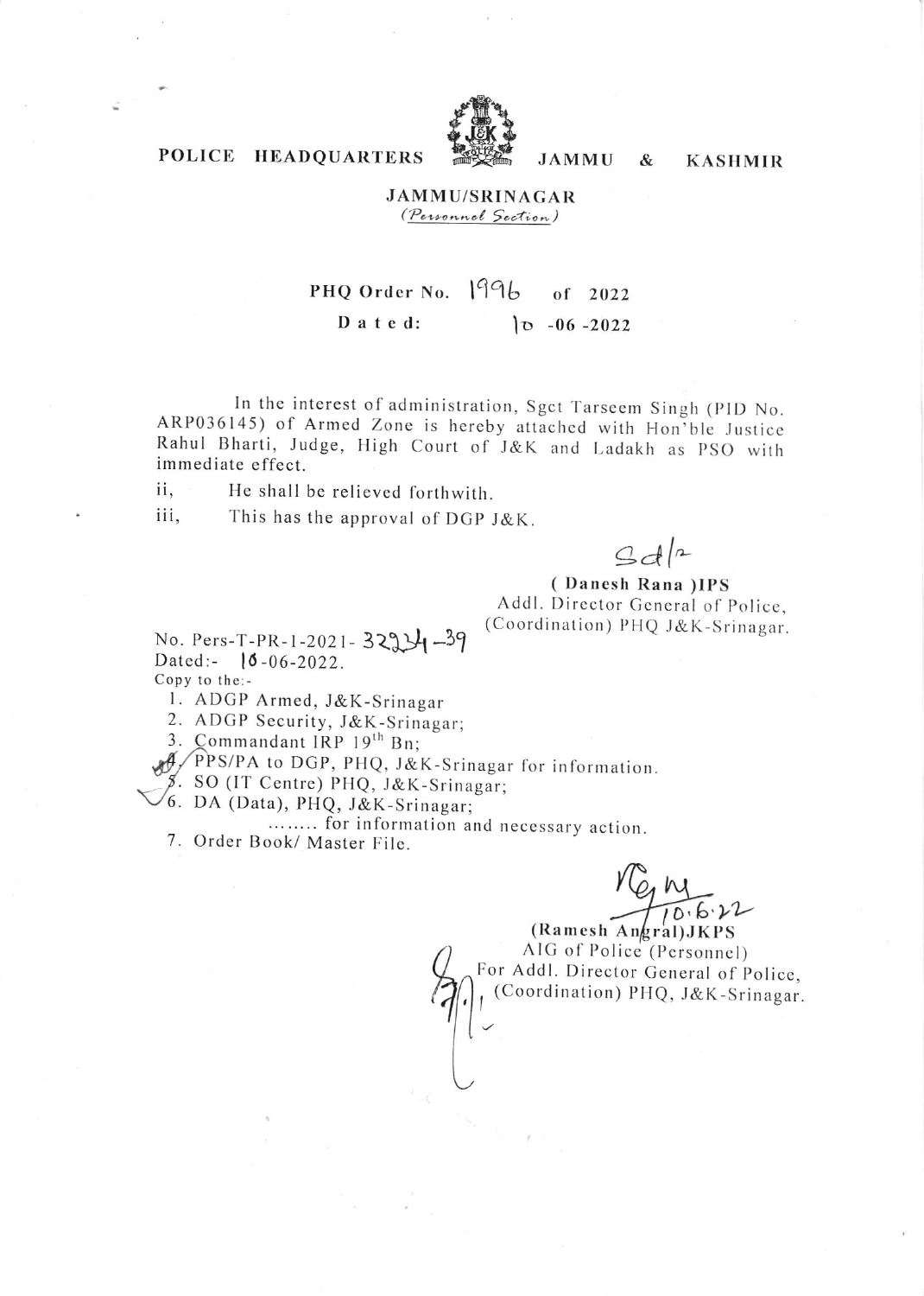

**JAMMU** 

 $\&$ 

**KASHMIR** 

# POLICE HEADQUARTERS

## **JAMMU/SRINAGAR** *(Personnel Section)*

### PHQ Order No. 1996 of 2022  $D$  a t e d:  $|0 - 06 - 2022|$

In the interest of administration, Sgct Tarseem Singh (PID No. ARP036145) of Armed Zone is hereby attached with Hon'ble Justice Rahul Bharti, Judge, High Court of J&K and Ladakh as PSO with immediate effect.

He shall be relieved forthwith. ii.

iii. This has the approval of DGP J&K.

 $3d|2$ 

(Danesh Rana) IPS Addl. Director General of Police, (Coordination) PHQ J&K-Srinagar.

No. Pers-T-PR-1-2021- 329  $\frac{1}{4}$ -39 Dated:-  $10 - 06 - 2022$ Copy to the:-

1. ADGP Armed, J&K-Srinagar

2. ADGP Security, J&K-Srinagar;

3. Commandant IRP 19th Bn;

PPS/PA to DGP, PHQ, J&K-Srinagar for information.

5. SO (IT Centre) PHQ, J&K-Srinagar;<br>6. DA (Data), PHQ, J&K-Srinagar;

........ for information and necessary action.

7. Order Book/ Master File.

 $V_{Q}W$ <br>(Ramesh Angral) JKPS

AIG of Police (Personnel) For Addl. Director General of Police, (Coordination) PHQ, J&K-Srinagar.